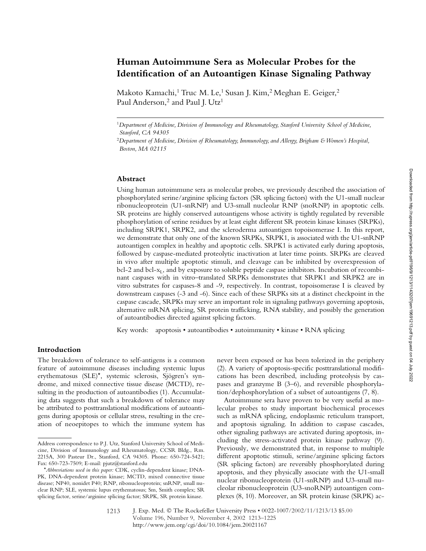# **Human Autoimmune Sera as Molecular Probes for the Identification of an Autoantigen Kinase Signaling Pathway**

Makoto Kamachi,<sup>1</sup> Truc M. Le,<sup>1</sup> Susan J. Kim,<sup>2</sup> Meghan E. Geiger,<sup>2</sup> Paul Anderson,<sup>2</sup> and Paul J. Utz<sup>1</sup>

#### **Abstract**

Using human autoimmune sera as molecular probes, we previously described the association of phosphorylated serine/arginine splicing factors (SR splicing factors) with the U1-small nuclear ribonucleoprotein (U1-snRNP) and U3-small nucleolar RNP (snoRNP) in apoptotic cells. SR proteins are highly conserved autoantigens whose activity is tightly regulated by reversible phosphorylation of serine residues by at least eight different SR protein kinase kinases (SRPKs), including SRPK1, SRPK2, and the scleroderma autoantigen topoisomerase I. In this report, we demonstrate that only one of the known SRPKs, SRPK1, is associated with the U1-snRNP autoantigen complex in healthy and apoptotic cells. SRPK1 is activated early during apoptosis, followed by caspase-mediated proteolytic inactivation at later time points. SRPKs are cleaved in vivo after multiple apoptotic stimuli, and cleavage can be inhibited by overexpression of bcl-2 and bcl- $x_L$ , and by exposure to soluble peptide caspase inhibitors. Incubation of recombinant caspases with in vitro–translated SRPKs demonstrates that SRPK1 and SRPK2 are in vitro substrates for caspases-8 and -9, respectively. In contrast, topoisomerase I is cleaved by downstream caspases (-3 and -6). Since each of these SRPKs sits at a distinct checkpoint in the caspase cascade, SRPKs may serve an important role in signaling pathways governing apoptosis, alternative mRNA splicing, SR protein trafficking, RNA stability, and possibly the generation of autoantibodies directed against splicing factors.

Key words: apoptosis • autoantibodies • autoimmunity • kinase • RNA splicing

### **Introduction**

The breakdown of tolerance to self-antigens is a common feature of autoimmune diseases including systemic lupus erythematosus (SLE)\*, systemic sclerosis, Sjögren's syndrome, and mixed connective tissue disease (MCTD), resulting in the production of autoantibodies (1). Accumulating data suggests that such a breakdown of tolerance may be attributed to posttranslational modifications of autoantigens during apoptosis or cellular stress, resulting in the creation of neoepitopes to which the immune system has never been exposed or has been tolerized in the periphery (2). A variety of apoptosis-specific posttranslational modifications has been described, including proteolysis by caspases and granzyme B (3–6), and reversible phosphorylation/dephosphorylation of a subset of autoantigens (7, 8).

Autoimmune sera have proven to be very useful as molecular probes to study important biochemical processes such as mRNA splicing, endoplasmic reticulum transport, and apoptosis signaling. In addition to caspase cascades, other signaling pathways are activated during apoptosis, including the stress-activated protein kinase pathway (9). Previously, we demonstrated that, in response to multiple different apoptotic stimuli, serine/arginine splicing factors (SR splicing factors) are reversibly phosphorylated during apoptosis, and they physically associate with the U1-small nuclear ribonucleoprotein (U1-snRNP) and U3-small nucleolar ribonucleoprotein (U3-snoRNP) autoantigen complexes (8, 10). Moreover, an SR protein kinase (SRPK) ac-

<sup>1</sup>*Department of Medicine, Division of Immunology and Rheumatology, Stanford University School of Medicine, Stanford, CA 94305*

<sup>2</sup>*Department of Medicine, Division of Rheumatology, Immunology, and Allergy, Brigham & Women's Hospital, Boston, MA 02115*

Address correspondence to P.J. Utz, Stanford University School of Medicine, Division of Immunology and Rheumatology, CCSR Bldg., Rm. 2215A, 300 Pasteur Dr., Stanford, CA 94305. Phone: 650-724-5421; Fax: 650-723-7509; E-mail: pjutz@stanford.edu

<sup>\*</sup>*Abbreviations used in this paper:* CDK, cyclin-dependent kinase; DNA-PK, DNA-dependent protein kinase; MCTD, mixed connective tissue disease; NP40, nonidet P40; RNP, ribonucleoprotein; snRNP, small nuclear RNP; SLE, systemic lupus erythematosus; Sm, Smith complex; SR splicing factor, serine/arginine splicing factor; SRPK, SR protein kinase.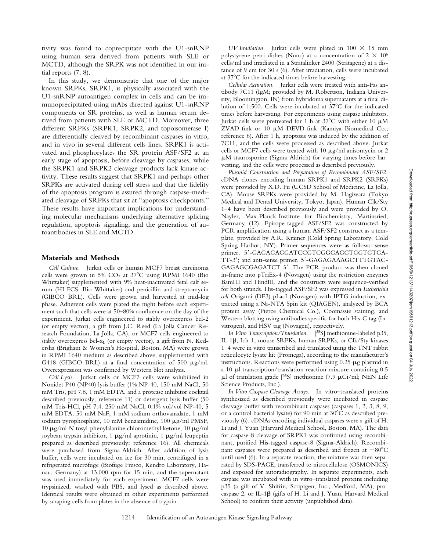tivity was found to coprecipitate with the U1-snRNP using human sera derived from patients with SLE or MCTD, although the SRPK was not identified in our initial reports (7, 8).

In this study, we demonstrate that one of the major known SRPKs, SRPK1, is physically associated with the U1-snRNP autoantigen complex in cells and can be immunoprecipitated using mAbs directed against U1-snRNP components or SR proteins, as well as human serum derived from patients with SLE or MCTD. Moreover, three different SRPKs (SRPK1, SRPK2, and topoisomerase I) are differentially cleaved by recombinant caspases in vitro, and in vivo in several different cells lines. SRPK1 is activated and phosphorylates the SR protein ASF/SF2 at an early stage of apoptosis, before cleavage by caspases, while the SRPK1 and SRPK2 cleavage products lack kinase activity. These results suggest that SRPK1 and perhaps other SRPKs are activated during cell stress and that the fidelity of the apoptosis program is assured through caspase-mediated cleavage of SRPKs that sit at "apoptosis checkpoints." These results have important implications for understanding molecular mechanisms underlying alternative splicing regulation, apoptosis signaling, and the generation of autoantibodies in SLE and MCTD.

#### **Materials and Methods**

*Cell Culture.* Jurkat cells or human MCF7 breast carcinoma cells were grown in  $5\%$  CO<sub>2</sub> at  $37^{\circ}$ C using RPMI 1640 (Bio Whittaker) supplemented with 9% heat-inactivated fetal calf serum (HI-FCS; Bio Whittaker) and penicillin and streptomycin (GIBCO BRL). Cells were grown and harvested at mid-log phase. Adherent cells were plated the night before each experiment such that cells were at 50–80% confluence on the day of the experiment. Jurkat cells engineered to stably overexpress bcl-2 (or empty vector), a gift from J.C. Reed (La Jolla Cancer Research Foundation, La Jolla, CA), or MCF7 cells engineered to stably overexpress bcl- $x_L$  (or empty vector), a gift from N. Kedersha (Brigham & Women's Hospital, Boston, MA) were grown in RPMI 1640 medium as described above, supplemented with G418 (GIBCO BRL) at a final concentration of 500  $\mu$ g/ml. Overexpression was confirmed by Western blot analysis.

*Cell Lysis.* Jurkat cells or MCF7 cells were solubilized in Nonidet P40 (NP40) lysis buffer (1% NP-40, 150 mM NaCl, 50 mM Tris, pH 7.8, 1 mM EDTA, and a protease inhibitor cocktail described previously; reference 11) or detergent lysis buffer (50 mM Tris-HCl, pH 7.4, 250 mM NaCl, 0.1% vol/vol NP-40, 5 mM EDTA, 50 mM NaF, 1 mM sodium orthovanadate, 1 mM sodium pyrophosphate, 10 mM benzamidine, 100  $\mu$ g/ml PMSF, 10 μg/ml *N*-tosyl-phenylalanine chloromethyl ketone, 10 μg/ml soybean trypsin inhibitor, 1  $\mu$ g/ml aprotinin, 1  $\mu$ g/ml leupeptin prepared as described previously; reference 16). All chemicals were purchased from Sigma-Aldrich. After addition of lysis buffer, cells were incubated on ice for 30 min, centrifuged in a refrigerated microfuge (Biofuge Fresco, Kendro Laboratory, Hanau, Germany) at 13,000 rpm for 15 min, and the supernatant was used immediately for each experiment. MCF7 cells were trypsinized, washed with PBS, and lysed as described above. Identical results were obtained in other experiments performed by scraping cells from plates in the absence of trypsin.

 $UV$  Irradiation. Jurkat cells were plated in  $100 \times 15$  mm polystyrene petri dishes (Nunc) at a concentration of  $2 \times 10^6$ cells/ml and irradiated in a Stratalinker 2400 (Stratagene) at a distance of 9 cm for 30 s (6). After irradiation, cells were incubated at 37°C for the indicated times before harvesting.

*Cellular Activation.* Jurkat cells were treated with anti-Fas antibody 7C11 (IgM; provided by M. Robertson, Indiana University, Bloomington, IN) from hybridoma supernatants at a final dilution of 1:500. Cells were incubated at 37°C for the indicated times before harvesting. For experiments using caspase inhibitors, Jurkat cells were pretreated for 1 h at 37°C with either 10  $\mu$ M ZVAD-fmk or  $10 \mu M$  DEVD-fmk (Kamiya Biomedical Co.; reference 6). After 1 h, apoptosis was induced by the addition of 7C11, and the cells were processed as described above. Jurkat cells or MCF7 cells were treated with 10  $\mu$ g/ml anisomycin or 2 M staurosporine (Sigma-Aldrich) for varying times before harvesting, and the cells were processed as described previously.

*Plasmid Construction and Preparation of Recombinant ASF/SF2.* cDNA clones encoding human SRPK1 and SRPK2 (SRPKs) were provided by X.D. Fu (UCSD School of Medicine, La Jolla, CA). Mouse SRPKs were provided by M. Hagiwara (Tokyo Medical and Dental University, Tokyo, Japan). Human Clk/Sty 1–4 have been described previously and were provided by O. Nayler, Max-Planck-Institute for Biochemistry, Martinsried, Germany (12). Epitope-tagged ASF/SF2 was constructed by PCR amplification using a human ASF/SF2 construct as a template, provided by A.R. Krainer (Cold Spring Laboratory, Cold Spring Harbor, NY). Primer sequences were as follows: sense primer, 5'-GAGAGAGGATCCGTCGGGAGGTGGTGTGA-TT-3'; and anti-sense primer, 5'-GAGAGAAAGCTTTGTAC-GAGAGCGAGATCT-3'. The PCR product was then cloned in-frame into pTriEx-4 (Novagen) using the restriction enzymes BamHI and HindIII, and the constructs were sequence-verified for both strands. His-tagged ASF/SF2 was expressed in *Escherichia coli* Origami (DE3) pLacI (Novagen) with IPTG induction, extracted using a Ni-NTA Spin kit (QIAGEN), analyzed by BCA protein assay (Pierce Chemical Co.), Coomassie staining, and Western blotting using antibodies specific for both His-C tag (Invitrogen), and HSV tag (Novagen), respectively.

*In Vitro Transcription/Translation.* [ 35S] methionine-labeled p35, IL-1β, Ich-1, mouse SRPKs, human SRPKs, or Clk/Sty kinases 1–4 were in vitro transcribed and translated using the TNT rabbit reticulocyte lysate kit (Promega), according to the manufacturer's instructions. Reactions were performed using  $0.25 \mu$ g plasmid in a 10  $\mu$ l transcription/translation reaction mixture containing 0.5  $\mu$ l of translation grade [<sup>35</sup>S] methionine (7.9  $\mu$ Ci/ml; NEN Life Science Products, Inc.).

*In Vitro Caspase Cleavage Assays.* In vitro–translated proteins synthesized as described previously were incubated in caspase cleavage buffer with recombinant caspases (caspases 1, 2, 3, 8, 9, or a control bacterial lysate) for 90 min at 30°C as described previously (6). cDNAs encoding individual caspases were a gift of H. Li and J. Yuan (Harvard Medical School, Boston, MA). The data for caspase-8 cleavage of SRPK1 was confirmed using recombinant, purified His-tagged caspase-8 (Sigma-Aldrich). Recombinant caspases were prepared as described and frozen at  $-80^{\circ}$ C until used (6). In a separate reaction, the mixture was then separated by SDS-PAGE, transferred to nitrocellulose (OSMONICS) and exposed for autoradiography. In separate experiments, each caspase was incubated with in vitro–translated proteins including p35 (a gift of V. Shifrin, Scriptgen, Inc., Medford, MA), procaspase 2, or IL-1 $\beta$  (gifts of H. Li and J. Yuan, Harvard Medical School) to confirm their activity (unpublished data).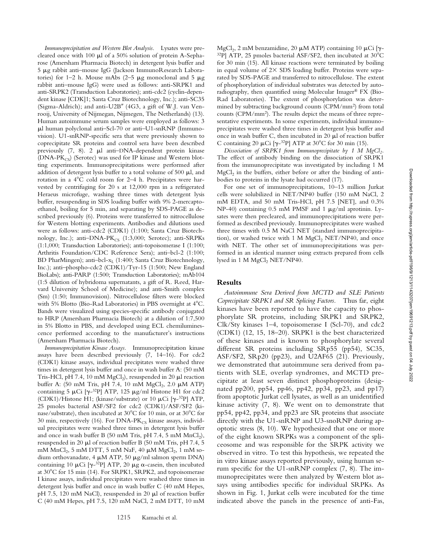*Immunoprecipitation and Western Blot Analysis.* Lysates were precleared once with 100  $\mu$ l of a 50% solution of protein A-Sepharose (Amersham Pharmacia Biotech) in detergent lysis buffer and 5 µg rabbit anti-mouse IgG (Jackson ImmunoResearch Laboratories) for 1–2 h. Mouse mAbs (2–5  $\mu$ g monoclonal and 5  $\mu$ g rabbit anti–mouse IgG) were used as follows: anti-SRPK1 and anti-SRPK2 (Transduction Laboratories); anti-cdc2 (cyclin-dependent kinase [CDK]1; Santa Cruz Biotechnology, Inc.); anti-SC35 (Sigma-Aldrich); and anti-U2B" (4G3, a gift of W.J. van Venrooij, University of Nijmegan, Nijmegen, The Netherlands) (13). Human autoimmune serum samples were employed as follows: 3  $\mu$ l human polyclonal anti–Scl-70 or anti–U1-snRNP (Immunovision). U1-snRNP-specific sera that were previously shown to coprecipitate SR proteins and control sera have been described previously  $(7, 8)$ . 2  $\mu$ l anti-DNA-dependent protein kinase (DNA-PK<sub>CS</sub>) (Serotec) was used for IP kinase and Western blotting experiments. Immunoprecipitations were performed after addition of detergent lysis buffer to a total volume of 500  $\mu$ l, and rotation in a 4°C cold room for 2–4 h. Precipitates were harvested by centrifuging for 20 s at 12,000 rpm in a refrigerated Heraeus microfuge, washing three times with detergent lysis buffer, resuspending in SDS loading buffer with 9% 2-mercaptoethanol, boiling for 5 min, and separating by SDS-PAGE as described previously (6). Proteins were transferred to nitrocellulose for Western blotting experiments. Antibodies and dilutions used were as follows: anti-cdc2 (CDK1) (1:100; Santa Cruz Biotechnology, Inc.); anti-DNA- $PK_{CS}$  (1:3,000; Serotec); anti-SRPKs (1:1,000; Transduction Laboratories); anti-topoisomerase I (1:100; Arthritis Foundation/CDC Reference Sera); anti–bcl-2 (1:100; BD PharMingen); anti-bcl- $x_L$  (1:400; Santa Cruz Biotechnology, Inc.); anti–phospho-cdc2 (CDK1)/Tyr-15 (1:500; New England BioLabs); anti-PARP (1:500; Transduction Laboratories); mAb104 (1:5 dilution of hybridoma supernatants, a gift of R. Reed, Harvard University School of Medicine); and anti-Smith complex (Sm) (1:50; Immunovision). Nitrocellulose filters were blocked with 5% Blotto (Bio-Rad Laboratories) in PBS overnight at 4°C. Bands were visualized using species-specific antibody conjugated to HRP (Amersham Pharmacia Biotech) at a dilution of 1:7,500 in 5% Blotto in PBS, and developed using ECL chemiluminescence performed according to the manufacturer's instructions (Amersham Pharmacia Biotech).

*Immunoprecipitation Kinase Assays.* Immunoprecipitation kinase assays have been described previously (7, 14–16). For cdc2 (CDK1) kinase assays, individual precipitates were washed three times in detergent lysis buffer and once in wash buffer A: (50 mM Tris-HCl, pH 7.4, 10 mM MgCl<sub>2</sub>), resuspended in 20  $\mu$ l reaction buffer A:  $(50 \text{ mM Tris, pH } 7.4, 10 \text{ mM } MgCl<sub>2</sub>, 2.0 \mu M ATP)$ containing 5  $\mu$ Ci [ $\gamma$ -<sup>32</sup>P] ATP, 125  $\mu$ g/ml Histone H1 for cdc2 (CDK1)/Histone H1; (kinase/substrate) or 10  $\mu$ Ci [ $\gamma$ -<sup>32</sup>P] ATP, 25 pmoles bacterial ASF/SF2 for cdc2 (CDK1)/ASF/SF2 (kinase/substrate), then incubated at 30°C for 10 min, or at 30°C for 30 min, respectively (16). For  $DNA-PK_{CS}$  kinase assays, individual precipitates were washed three times in detergent lysis buffer and once in wash buffer B (50 mM Tris, pH 7.4, 5 mM  $MnCl<sub>2</sub>$ ), resuspended in 20  $\mu$ l of reaction buffer B (50 mM Tris, pH 7.4, 5 mM  $MnCl<sub>2</sub>$ , 5 mM DTT, 5 mM NaF, 40  $\mu$ M MgCl<sub>2</sub>, 1 mM sodium orthovanadate, 4  $\mu$ M ATP, 50  $\mu$ g/ml salmon sperm DNA) containing 10  $\mu$ Ci [ $\gamma$ -<sup>32</sup>P] ATP, 20  $\mu$ g  $\alpha$ -casein, then incubated at 30°C for 15 min (14). For SRPK1, SRPK2, and topoisomerase I kinase assays, individual precipitates were washed three times in detergent lysis buffer and once in wash buffer C (40 mM Hepes, pH 7.5, 120 mM NaCl), resuspended in 20  $\mu$ l of reaction buffer C (40 mM Hepes, pH 7.5, 120 mM NaCl, 2 mM DTT, 10 mM

MgCl<sub>2</sub>, 2 mM benzamidine, 20  $\mu$ M ATP) containing 10  $\mu$ Ci [ $\gamma$ - $^{32}P$ ] ATP, 25 pmoles bacterial ASF/SF2, then incubated at 30°C for 30 min (15). All kinase reactions were terminated by boiling in equal volume of  $2 \times$  SDS loading buffer. Proteins were separated by SDS-PAGE and transferred to nitrocellulose. The extent of phosphorylation of individual substrates was detected by autoradiography, then quantified using Molecular Imager® FX (Bio-Rad Laboratories). The extent of phosphorylation was determined by subtracting background counts (CPM/mm2) from total counts (CPM/mm2). The results depict the means of three representative experiments. In some experiments, individual immunoprecipitates were washed three times in detergent lysis buffer and once in wash buffer C, then incubated in  $20 \mu l$  of reaction buffer C containing 20  $\mu$ Ci [ $\gamma$ -<sup>32</sup>P] ATP at 30°C for 30 min (15).

Dissociation of SRPK1 from Immunoprecipitate by 1 M MgCl<sub>2</sub>. The effect of antibody binding on the dissociation of SRPK1 from the immunoprecipitate was investigated by including 1 M  $MgCl<sub>2</sub>$  in the buffers, either before or after the binding of antibodies to proteins in the lysate had occurred (17).

For one set of immunoprecipitations, 10–13 million Jurkat cells were solubilized in NET/NP40 buffer (150 mM NaCl, 2 mM EDTA, and 50 mM Tris-HCl, pH 7.5 [NET], and 0.3% NP-40) containing  $0.5$  mM PMSF and 1  $\mu$ g/ml aprotinin. Lysates were then precleared, and immunoprecipitations were performed as described previously. Immunoprecipitates were washed three times with 0.5 M NaCl NET (standard immunoprecipitation), or washed twice with 1 M  $MgCl<sub>2</sub> NET/NP40$ , and once with NET. The other set of immunoprecipitations was performed in an identical manner using extracts prepared from cells lysed in 1 M MgCl<sub>2</sub> NET/NP40.

## **Results**

*Autoimmune Sera Derived from MCTD and SLE Patients Coprecipitate SRPK1 and SR Splicing Factors.* Thus far, eight kinases have been reported to have the capacity to phosphorylate SR proteins, including SRPK1 and SRPK2, Clk/Sty kinases 1–4, topoisomerase I (Scl-70), and cdc2 (CDK1) (12, 15, 18–20). SRPK1 is the best characterized of these kinases and is known to phosphorylate several different SR proteins including SRp55 (pp54), SC35, ASF/SF2, SRp20 (pp23), and U2AF65 (21). Previously, we demonstrated that autoimmune sera derived from patients with SLE, overlap syndromes, and MCTD precipitate at least seven distinct phosphoproteins (designated pp200, pp54, pp46, pp42, pp34, pp23, and pp17) from apoptotic Jurkat cell lysates, as well as an unidentified kinase activity (7, 8). We went on to demonstrate that pp54, pp42, pp34, and pp23 are SR proteins that associate directly with the U1-snRNP and U3-snoRNP during apoptotic stress (8, 10). We hypothesized that one or more of the eight known SRPKs was a component of the spliceosome and was responsible for the SRPK activity we observed in vitro. To test this hypothesis, we repeated the in vitro kinase assays reported previously, using human serum specific for the U1-snRNP complex (7, 8). The immunoprecipitates were then analyzed by Western blot assays using antibodies specific for individual SRPKs. As shown in Fig. 1, Jurkat cells were incubated for the time indicated above the panels in the presence of anti-Fas,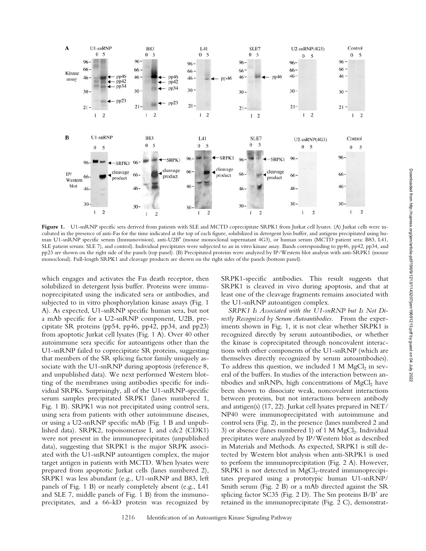

Figure 1. U1-snRNP specific sera derived from patients with SLE and MCTD coprecipitate SRPK1 from Jurkat cell lysates. (A) Jurkat cells were incubated in the presence of anti-Fas for the time indicated at the top of each figure, solubilized in detergent lysis buffer, and antigens precipitated using human U1-snRNP specific serum (Immunovision), anti-U2B" (mouse monoclonal supernatant 4G3), or human serum (MCTD patient sera: B83, L41, SLE patient serum: SLE 7), and control). Individual precipitates were subjected to an in vitro kinase assay. Bands corresponding to pp46, pp42, pp34, and pp23 are shown on the right side of the panels (top panel). (B) Precipitated proteins were analyzed by IP/Western blot analysis with anti-SRPK1 (mouse monoclonal). Full-length SRPK1 and cleavage products are shown on the right sides of the panels (bottom panel).

which engages and activates the Fas death receptor, then solubilized in detergent lysis buffer. Proteins were immunoprecipitated using the indicated sera or antibodies, and subjected to in vitro phosphorylation kinase assays (Fig. 1 A). As expected, U1-snRNP specific human sera, but not a mAb specific for a U2-snRNP component, U2B, precipitate SR proteins (pp54, pp46, pp42, pp34, and pp23) from apoptotic Jurkat cell lysates (Fig. 1 A). Over 40 other autoimmune sera specific for autoantigens other than the U1-snRNP failed to coprecipitate SR proteins, suggesting that members of the SR splicing factor family uniquely associate with the U1-snRNP during apoptosis (reference 8, and unpublished data). We next performed Western blotting of the membranes using antibodies specific for individual SRPKs. Surprisingly, all of the U1-snRNP-specific serum samples precipitated SRPK1 (lanes numbered 1, Fig. 1 B). SRPK1 was not precipitated using control sera, using sera from patients with other autoimmune diseases, or using a U2-snRNP specific mAb (Fig. 1 B and unpublished data). SRPK2, topoisomerase I, and cdc2 (CDK1) were not present in the immunoprecipitates (unpublished data), suggesting that SRPK1 is the major SRPK associated with the U1-snRNP autoantigen complex, the major target antigen in patients with MCTD. When lysates were prepared from apoptotic Jurkat cells (lanes numbered 2), SRPK1 was less abundant (e.g., U1-snRNP and B83, left panels of Fig. 1 B) or nearly completely absent (e.g., L41 and SLE 7, middle panels of Fig. 1 B) from the immunoprecipitates, and a 66-kD protein was recognized by SRPK1-specific antibodies. This result suggests that SRPK1 is cleaved in vivo during apoptosis, and that at least one of the cleavage fragments remains associated with the U1-snRNP autoantigen complex.

*SRPK1 Is Associated with the U1-snRNP but Is Not Directly Recognized by Serum Autoantibodies.* From the experiments shown in Fig. 1, it is not clear whether SRPK1 is recognized directly by serum autoantibodies, or whether the kinase is coprecipitated through noncovalent interactions with other components of the U1-snRNP (which are themselves directly recognized by serum autoantibodies). To address this question, we included 1 M  $MgCl<sub>2</sub>$  in several of the buffers. In studies of the interaction between antibodies and snRNPs, high concentrations of  $MgCl<sub>2</sub>$  have been shown to dissociate weak, noncovalent interactions between proteins, but not interactions between antibody and antigen(s) (17, 22). Jurkat cell lysates prepared in NET/ NP40 were immunoprecipitated with autoimmune and control sera (Fig. 2), in the presence (lanes numbered 2 and 3) or absence (lanes numbered 1) of  $1 M MgCl<sub>2</sub>$ . Individual precipitates were analyzed by IP/Western blot as described in Materials and Methods. As expected, SRPK1 is still detected by Western blot analysis when anti-SRPK1 is used to perform the immunoprecipitation (Fig. 2 A). However, SRPK1 is not detected in MgCl<sub>2</sub>-treated immunoprecipitates prepared using a prototypic human U1-snRNP/ Smith serum (Fig. 2 B) or a mAb directed against the SR splicing factor SC35 (Fig. 2 D). The Sm proteins  $B/B'$  are retained in the immunoprecipitate (Fig. 2 C), demonstrat-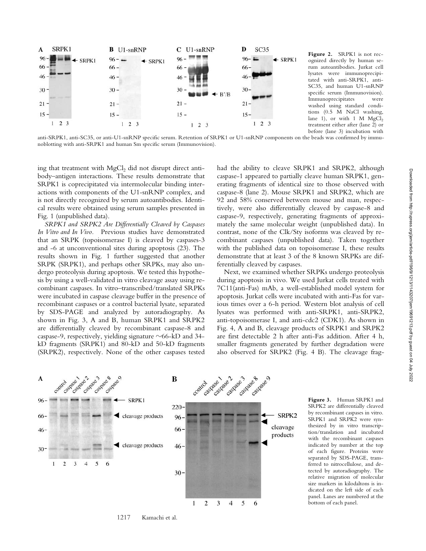

**Figure 2.** SRPK1 is not recognized directly by human serum autoantibodies. Jurkat cell lysates were immunoprecipitated with anti-SRPK1, anti-SC35, and human U1-snRNP specific serum (Immunovision). Immunoprecipitates were washed using standard conditions (0.5 M NaCl washing, lane 1), or with 1 M  $MgCl<sub>2</sub>$ treatment either after (lane 2) or before (lane 3) incubation with

anti-SRPK1, anti-SC35, or anti-U1-snRNP specific serum. Retention of SRPK1 or U1-snRNP components on the beads was confirmed by immunoblotting with anti-SRPK1 and human Sm specific serum (Immunovision).

ing that treatment with MgCl<sub>2</sub> did not disrupt direct antibody–antigen interactions. These results demonstrate that SRPK1 is coprecipitated via intermolecular binding interactions with components of the U1-snRNP complex, and is not directly recognized by serum autoantibodies. Identical results were obtained using serum samples presented in Fig. 1 (unpublished data).

*SRPK1 and SRPK2 Are Differentially Cleaved by Caspases In Vitro and In Vivo.* Previous studies have demonstrated that an SRPK (topoisomerase I) is cleaved by caspases-3 and -6 at unconventional sites during apoptosis (23). The results shown in Fig. 1 further suggested that another SRPK (SRPK1), and perhaps other SRPKs, may also undergo proteolysis during apoptosis. We tested this hypothesis by using a well-validated in vitro cleavage assay using recombinant caspases. In vitro–transcribed/translated SRPKs were incubated in caspase cleavage buffer in the presence of recombinant caspases or a control bacterial lysate, separated by SDS-PAGE and analyzed by autoradiography. As shown in Fig. 3, A and B, human SRPK1 and SRPK2 are differentially cleaved by recombinant caspase-8 and caspase-9, respectively, yielding signature  $\sim$ 66-kD and 34kD fragments (SRPK1) and 80-kD and 50-kD fragments (SRPK2), respectively. None of the other caspases tested had the ability to cleave SRPK1 and SRPK2, although caspase-1 appeared to partially cleave human SRPK1, generating fragments of identical size to those observed with caspase-8 (lane 2). Mouse SRPK1 and SRPK2, which are 92 and 58% conserved between mouse and man, respectively, were also differentially cleaved by caspase-8 and caspase-9, respectively, generating fragments of approximately the same molecular weight (unpublished data). In contrast, none of the Clk/Sty isoforms was cleaved by recombinant caspases (unpublished data). Taken together with the published data on topoisomerase I, these results demonstrate that at least 3 of the 8 known SRPKs are differentially cleaved by caspases.

Next, we examined whether SRPKs undergo proteolysis during apoptosis in vivo. We used Jurkat cells treated with 7C11(anti-Fas) mAb, a well-established model system for apoptosis. Jurkat cells were incubated with anti-Fas for various times over a 6-h period. Western blot analysis of cell lysates was performed with anti-SRPK1, anti-SRPK2, anti-topoisomerase I, and anti-cdc2 (CDK1). As shown in Fig. 4, A and B, cleavage products of SRPK1 and SRPK2 are first detectable 2 h after anti-Fas addition. After 4 h, smaller fragments generated by further degradation were also observed for SRPK2 (Fig. 4 B). The cleavage frag-



**Figure 3.** Human SRPK1 and SRPK2 are differentially cleaved by recombinant caspases in vitro. SRPK1 and SRPK2 were synthesized by in vitro transcription/translation and incubated with the recombinant caspases indicated by number at the top of each figure. Proteins were separated by SDS-PAGE, transferred to nitrocellulose, and detected by autoradiography. The relative migration of molecular size markers in kilodaltons is indicated on the left side of each panel. Lanes are numbered at the bottom of each panel.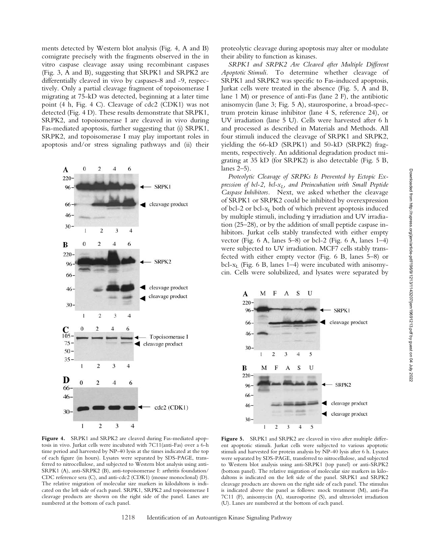ments detected by Western blot analysis (Fig. 4, A and B) comigrate precisely with the fragments observed in the in vitro caspase cleavage assay using recombinant caspases (Fig. 3, A and B), suggesting that SRPK1 and SRPK2 are differentially cleaved in vivo by caspases-8 and -9, respectively. Only a partial cleavage fragment of topoisomerase I migrating at 75-kD was detected, beginning at a later time point (4 h, Fig. 4 C). Cleavage of cdc2 (CDK1) was not detected (Fig. 4 D). These results demonstrate that SRPK1, SRPK2, and topoisomerase I are cleaved in vivo during Fas-mediated apoptosis, further suggesting that (i) SRPK1, SRPK2, and topoisomerase I may play important roles in apoptosis and/or stress signaling pathways and (ii) their



proteolytic cleavage during apoptosis may alter or modulate their ability to function as kinases.

*SRPK1 and SRPK2 Are Cleaved after Multiple Different Apoptotic Stimuli.* To determine whether cleavage of SRPK1 and SRPK2 was specific to Fas-induced apoptosis, Jurkat cells were treated in the absence (Fig. 5, A and B, lane 1 M) or presence of anti-Fas (lane 2 F), the antibiotic anisomycin (lane 3; Fig. 5 A), staurosporine, a broad-spectrum protein kinase inhibitor (lane 4 S, reference 24), or UV irradiation (lane 5 U). Cells were harvested after 6 h and processed as described in Materials and Methods. All four stimuli induced the cleavage of SRPK1 and SRPK2, yielding the 66-kD (SRPK1) and 50-kD (SRPK2) fragments, respectively. An additional degradation product migrating at 35 kD (for SRPK2) is also detectable (Fig. 5 B, lanes 2–5).

*Proteolytic Cleavage of SRPKs Is Prevented by Ectopic Expression of bcl-2, bcl-* $x_L$ *, and Preincubation with Small Peptide Caspase Inhibitors.* Next, we asked whether the cleavage of SRPK1 or SRPK2 could be inhibited by overexpression of bcl-2 or bcl- $x<sub>L</sub>$  both of which prevent apoptosis induced by multiple stimuli, including  $\gamma$  irradiation and UV irradiation (25–28), or by the addition of small peptide caspase inhibitors. Jurkat cells stably transfected with either empty vector (Fig.  $6$  A, lanes  $5-8$ ) or bcl-2 (Fig.  $6$  A, lanes  $1-4$ ) were subjected to UV irradiation. MCF7 cells stably transfected with either empty vector (Fig. 6 B, lanes 5–8) or bcl- $x_L$  (Fig. 6 B, lanes 1–4) were incubated with anisomycin. Cells were solubilized, and lysates were separated by



**Figure 4.** SRPK1 and SRPK2 are cleaved during Fas-mediated apoptosis in vivo. Jurkat cells were incubated with 7C11(anti-Fas) over a 6-h time period and harvested by NP-40 lysis at the times indicated at the top of each figure (in hours). Lysates were separated by SDS-PAGE, transferred to nitrocellulose, and subjected to Western blot analysis using anti-SRPK1 (A), anti-SRPK2 (B), anti-topoisomerase I: arthritis foundation/ CDC reference sera (C), and anti-cdc2 (CDK1) (mouse monoclonal) (D). The relative migration of molecular size markers in kilodaltons is indicated on the left side of each panel. SRPK1, SRPK2 and topoisomerase I cleavage products are shown on the right side of the panel. Lanes are numbered at the bottom of each panel.

Figure 5. SRPK1 and SRPK2 are cleaved in vivo after multiple different apoptotic stimuli. Jurkat cells were subjected to various apoptotic stimuli and harvested for protein analysis by NP-40 lysis after 6 h. Lysates were separated by SDS-PAGE, transferred to nitrocellulose, and subjected to Western blot analysis using anti-SRPK1 (top panel) or anti-SRPK2 (bottom panel). The relative migration of molecular size markers in kilodaltons is indicated on the left side of the panel. SRPK1 and SRPK2 cleavage products are shown on the right side of each panel. The stimulus is indicated above the panel as follows: mock treatment (M), anti-Fas 7C11 (F), anisomycin (A), staurosporine (S), and ultraviolet irradiation (U). Lanes are numbered at the bottom of each panel.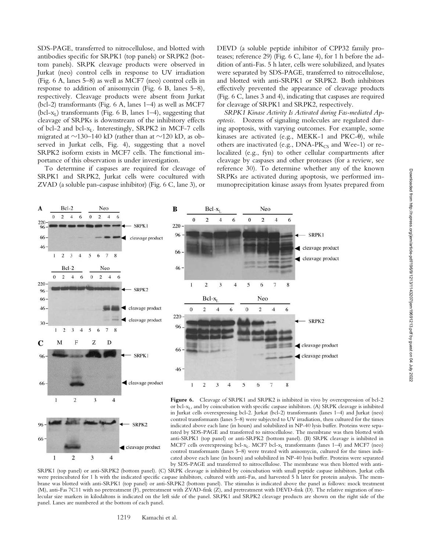SDS-PAGE, transferred to nitrocellulose, and blotted with antibodies specific for SRPK1 (top panels) or SRPK2 (bottom panels). SRPK cleavage products were observed in Jurkat (neo) control cells in response to UV irradiation (Fig. 6 A, lanes 5–8) as well as MCF7 (neo) control cells in response to addition of anisomycin (Fig. 6 B, lanes 5–8), respectively. Cleavage products were absent from Jurkat (bcl-2) transformants (Fig. 6 A, lanes 1–4) as well as MCF7 (bcl- $x_L$ ) transformants (Fig. 6 B, lanes 1–4), suggesting that cleavage of SRPKs is downstream of the inhibitory effects of bcl-2 and bcl- $x_L$ . Interestingly, SRPK2 in MCF-7 cells migrated at  $\sim$ 130–140 kD (rather than at  $\sim$ 120 kD, as observed in Jurkat cells, Fig. 4), suggesting that a novel SRPK2 isoform exists in MCF7 cells. The functional importance of this observation is under investigation.

To determine if caspases are required for cleavage of SRPK1 and SRPK2, Jurkat cells were cocultured with ZVAD (a soluble pan-caspase inhibitor) (Fig. 6 C, lane 3), or

DEVD (a soluble peptide inhibitor of CPP32 family proteases; reference 29) (Fig. 6 C, lane 4), for 1 h before the addition of anti-Fas. 5 h later, cells were solubilized, and lysates were separated by SDS-PAGE, transferred to nitrocellulose, and blotted with anti-SRPK1 or SRPK2. Both inhibitors effectively prevented the appearance of cleavage products (Fig. 6 C, lanes 3 and 4), indicating that caspases are required for cleavage of SRPK1 and SRPK2, respectively.

*SRPK1 Kinase Activity Is Activated during Fas-mediated Apoptosis.* Dozens of signaling molecules are regulated during apoptosis, with varying outcomes. For example, some kinases are activated (e.g., MEKK-1 and PKC-0), while others are inactivated (e.g.,  $DNA-PK_{CS}$  and Wee-1) or relocalized (e.g., fyn) to other cellular compartments after cleavage by caspases and other proteases (for a review, see reference 30). To determine whether any of the known SRPKs are activated during apoptosis, we performed immunoprecipitation kinase assays from lysates prepared from





**Figure 6.** Cleavage of SRPK1 and SRPK2 is inhibited in vivo by overexpression of bcl-2 or bcl- $x_L$ , and by coincubation with specific caspase inhibitors. (A) SRPK cleavage is inhibited in Jurkat cells overexpressing bcl-2. Jurkat (bcl-2) transformants (lanes 1–4) and Jurkat (neo) control transformants (lanes 5–8) were subjected to UV irradiation, then cultured for the times indicated above each lane (in hours) and solubilized in NP-40 lysis buffer. Proteins were separated by SDS-PAGE and transferred to nitrocellulose. The membrane was then blotted with anti-SRPK1 (top panel) or anti-SRPK2 (bottom panel). (B) SRPK cleavage is inhibited in MCF7 cells overexpressing bcl- $x_L$ . MCF7 bcl- $x_L$  transformants (lanes 1-4) and MCF7 (neo) control transformants (lanes 5–8) were treated with anisomycin, cultured for the times indicated above each lane (in hours) and solubilized in NP-40 lysis buffer. Proteins were separated by SDS-PAGE and transferred to nitrocellulose. The membrane was then blotted with anti-

SRPK1 (top panel) or anti-SRPK2 (bottom panel). (C) SRPK cleavage is inhibited by coincubation with small peptide caspase inhibitors. Jurkat cells were preincubated for 1 h with the indicated specific caspase inhibitors, cultured with anti-Fas, and harvested 5 h later for protein analysis. The membrane was blotted with anti-SRPK1 (top panel) or anti-SRPK2 (bottom panel). The stimulus is indicated above the panel as follows: mock treatment (M), anti-Fas 7C11 with no pretreatment (F), pretreatment with ZVAD-fmk (Z), and pretreatment with DEVD-fmk (D). The relative migration of molecular size markers in kilodaltons is indicated on the left side of the panel. SRPK1 and SRPK2 cleavage products are shown on the right side of the panel. Lanes are numbered at the bottom of each panel.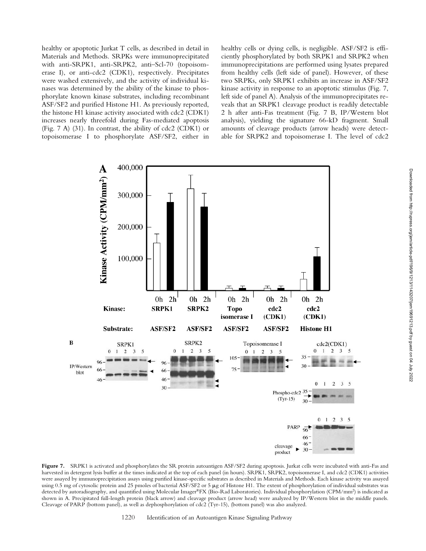healthy or apoptotic Jurkat T cells, as described in detail in Materials and Methods. SRPKs were immunoprecipitated with anti-SRPK1, anti-SRPK2, anti–Scl-70 (topoisomerase I), or anti-cdc2 (CDK1), respectively. Precipitates were washed extensively, and the activity of individual kinases was determined by the ability of the kinase to phosphorylate known kinase substrates, including recombinant ASF/SF2 and purified Histone H1. As previously reported, the histone H1 kinase activity associated with cdc2 (CDK1) increases nearly threefold during Fas-mediated apoptosis (Fig. 7 A) (31). In contrast, the ability of cdc2 (CDK1) or topoisomerase I to phosphorylate ASF/SF2, either in

healthy cells or dying cells, is negligible. ASF/SF2 is efficiently phosphorylated by both SRPK1 and SRPK2 when immunoprecipitations are performed using lysates prepared from healthy cells (left side of panel). However, of these two SRPKs, only SRPK1 exhibits an increase in ASF/SF2 kinase activity in response to an apoptotic stimulus (Fig. 7, left side of panel A). Analysis of the immunoprecipitates reveals that an SRPK1 cleavage product is readily detectable 2 h after anti-Fas treatment (Fig. 7 B, IP/Western blot analysis), yielding the signature 66-kD fragment. Small amounts of cleavage products (arrow heads) were detectable for SRPK2 and topoisomerase I. The level of cdc2



**Figure 7.** SRPK1 is activated and phosphorylates the SR protein autoantigen ASF/SF2 during apoptosis. Jurkat cells were incubated with anti-Fas and harvested in detergent lysis buffer at the times indicated at the top of each panel (in hours). SRPK1, SRPK2, topoisomerase I, and cdc2 (CDK1) activities were assayed by immunoprecipitation assays using purified kinase-specific substrates as described in Materials and Methods. Each kinase activity was assayed using 0.5 mg of cytosolic protein and 25 pmoles of bacterial ASF/SF2 or 5 µg of Histone H1. The extent of phosphorylation of individual substrates was detected by autoradiography, and quantified using Molecular Imager®FX (Bio-Rad Laboratories). Individual phosphorylation (CPM/mm2) is indicated as shown in A. Precipitated full-length protein (black arrow) and cleavage product (arrow head) were analyzed by IP/Western blot in the middle panels. Cleavage of PARP (bottom panel), as well as dephosphorylation of cdc2 (Tyr-15), (bottom panel) was also analyzed.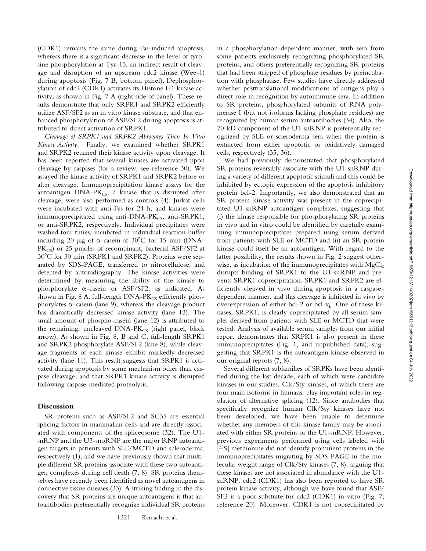(CDK1) remains the same during Fas-induced apoptosis, whereas there is a significant decrease in the level of tyrosine phosphorylation at Tyr-15, an indirect result of cleavage and disruption of an upstream cdc2 kinase (Wee-1) during apoptosis (Fig. 7 B, bottom panel). Dephosphorylation of cdc2 (CDK1) activates its Histone H1 kinase activity, as shown in Fig. 7 A (right side of panel). These results demonstrate that only SRPK1 and SRPK2 efficiently utilize ASF/SF2 as an in vitro kinase substrate, and that enhanced phosphorylation of ASF/SF2 during apoptosis is attributed to direct activation of SRPK1.

*Cleavage of SRPK1 and SRPK2 Abrogates Their In Vitro Kinase Activity.* Finally, we examined whether SRPK1 and SRPK2 retained their kinase activity upon cleavage. It has been reported that several kinases are activated upon cleavage by caspases (for a review, see reference 30). We assayed the kinase activity of SRPK1 and SRPK2 before or after cleavage. Immunoprecipitation kinase assays for the autoantigen  $DNA-PK_{CS}$ , a kinase that is disrupted after cleavage, were also performed as controls (4). Jurkat cells were incubated with anti-Fas for 24 h, and kinases were immunoprecipitated using anti-DNA-PK $_{\text{CS}}$ , anti-SRPK1, or anti-SRPK2, respectively. Individual precipitates were washed four times, incubated in individual reaction buffer including 20  $\mu$ g of  $\alpha$ -casein at 30°C for 15 min (DNA- $PK_{CS}$ ) or 25 pmoles of recombinant, bacterial ASF/SF2 at 30°C for 30 min (SRPK1 and SRPK2). Proteins were separated by SDS-PAGE, transferred to nitrocellulose, and detected by autoradiography. The kinase activities were determined by measuring the ability of the kinase to phosphorylate  $\alpha$ -casein or ASF/SF2, as indicated. As shown in Fig. 8 A, full-length  $DNA-PK_{CS}$  efficiently phos $phorylates \alpha-casein$  (lane 9), whereas the cleavage product has dramatically decreased kinase activity (lane 12). The small amount of phospho-casein (lane 12) is attributed to the remaining, uncleaved  $DNA-PK_{CS}$  (right panel, black arrow). As shown in Fig. 8, B and C, full-length SRPK1 and SRPK2 phosphorylate ASF/SF2 (lane 8), while cleavage fragments of each kinase exhibit markedly decreased activity (lane 11). This result suggests that SRPK1 is activated during apoptosis by some mechanism other than caspase cleavage, and that SRPK1 kinase activity is disrupted following caspase-mediated proteolysis.

## **Discussion**

SR proteins such as ASF/SF2 and SC35 are essential splicing factors in mammalian cells and are directly associated with components of the spliceosome (32). The U1 snRNP and the U3-snoRNP are the major RNP autoantigen targets in patients with SLE/MCTD and scleroderma, respectively (1), and we have previously shown that multiple different SR proteins associate with these two autoantigen complexes during cell death (7, 8). SR proteins themselves have recently been identified as novel autoantigens in connective tissue diseases (33). A striking finding in the discovery that SR proteins are unique autoantigens is that autoantibodies preferentially recognize individual SR proteins in a phosphorylation-dependent manner, with sera from some patients exclusively recognizing phosphorylated SR proteins, and others preferentially recognizing SR proteins that had been stripped of phosphate residues by preincubation with phosphatase. Few studies have directly addressed whether posttranslational modifications of antigens play a direct role in recognition by autoimmune sera. In addition to SR proteins, phosphorylated subunits of RNA polymerase I (but not isoforms lacking phosphate residues) are recognized by human serum autoantibodies (34). Also, the 70-kD component of the U1-snRNP is preferentially recognized by SLE or scleroderma sera when the protein is extracted from either apoptotic or oxidatively damaged cells, respectively (35, 36).

We had previously demonstrated that phosphorylated SR proteins reversibly associate with the U1-snRNP during a variety of different apoptotic stimuli and this could be inhibited by ectopic expression of the apoptosis inhibitory protein bcl-2. Importantly, we also demonstrated that an SR protein kinase activity was present in the coprecipitated U1-snRNP autoantigen complexes, suggesting that (i) the kinase responsible for phosphorylating SR proteins in vivo and in vitro could be identified by carefully examining immunoprecipitates prepared using serum derived from patients with SLE or MCTD and (ii) an SR protein kinase could itself be an autoantigen. With regard to the latter possibility, the results shown in Fig. 2 suggest otherwise, as incubation of the immunoprecipitates with  $MgCl<sub>2</sub>$ disrupts binding of SRPK1 to the U1-snRNP and prevents SRPK1 coprecipitation. SRPK1 and SRPK2 are efficiently cleaved in vivo during apoptosis in a caspasedependent manner, and this cleavage is inhibited in vivo by overexpression of either bcl-2 or bcl- $x_L$ . One of these kinases, SRPK1, is clearly coprecipitated by all serum samples derived from patients with SLE or MCTD that were tested. Analysis of available serum samples from our initial report demonstrates that SRPK1 is also present in these immunoprecipitates (Fig. 1, and unpublished data), suggesting that SRPK1 is the autoantigen kinase observed in our original reports (7, 8).

Several different subfamilies of SRPKs have been identified during the last decade, each of which were candidate kinases in our studies. Clk/Sty kinases, of which there are four main isoforms in humans, play important roles in regulation of alternative splicing (12). Since antibodies that specifically recognize human Clk/Sty kinases have not been developed, we have been unable to determine whether any members of this kinase family may be associated with either SR proteins or the U1-snRNP. However, previous experiments performed using cells labeled with [35S] methionine did not identify prominent proteins in the immunoprecipitates migrating by SDS-PAGE in the molecular weight range of Clk/Sty kinases (7, 8), arguing that these kinases are not associated in abundance with the U1 snRNP. cdc2 (CDK1) has also been reported to have SR protein kinase activity, although we have found that ASF/ SF2 is a poor substrate for cdc2 (CDK1) in vitro (Fig. 7; reference 20). Moreover, CDK1 is not coprecipitated by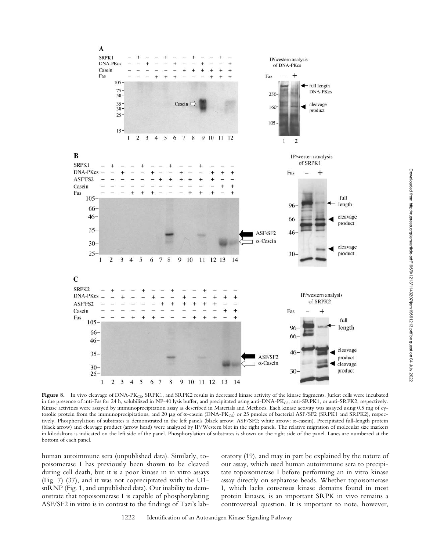

Figure 8. In vivo cleavage of DNA-PK<sub>CS</sub>, SRPK1, and SRPK2 results in decreased kinase activity of the kinase fragments. Jurkat cells were incubated in the presence of anti-Fas for 24 h, solubilized in NP-40 lysis buffer, and precipitated using anti-DNA-PK<sub>CS</sub>, anti-SRPK1, or anti-SRPK2, respectively. Kinase activities were assayed by immunoprecipitation assay as described in Materials and Methods. Each kinase activity was assayed using 0.5 mg of cytosolic protein from the immunoprecipitations, and 20 µg of  $\alpha$ -casein (DNA-PK<sub>CS</sub>) or 25 pmoles of bacterial ASF/SF2 (SRPK1 and SRPK2), respectively. Phosphorylation of substrates is demonstrated in the left panels (black arrow: ASF/SF2; white arrow: -casein). Precipitated full-length protein (black arrow) and cleavage product (arrow head) were analyzed by IP/Western blot in the right panels*.* The relative migration of molecular size markers in kilodaltons is indicated on the left side of the panel. Phosphorylation of substrates is shown on the right side of the panel. Lanes are numbered at the bottom of each panel.

human autoimmune sera (unpublished data). Similarly, topoisomerase I has previously been shown to be cleaved during cell death, but it is a poor kinase in in vitro assays (Fig. 7) (37), and it was not coprecipitated with the U1 snRNP (Fig. 1, and unpublished data). Our inability to demonstrate that topoisomerase I is capable of phosphorylating ASF/SF2 in vitro is in contrast to the findings of Tazi's laboratory (19), and may in part be explained by the nature of our assay, which used human autoimmune sera to precipitate topoisomerase I before performing an in vitro kinase assay directly on sepharose beads. Whether topoisomerase I, which lacks consensus kinase domains found in most protein kinases, is an important SRPK in vivo remains a controversial question. It is important to note, however,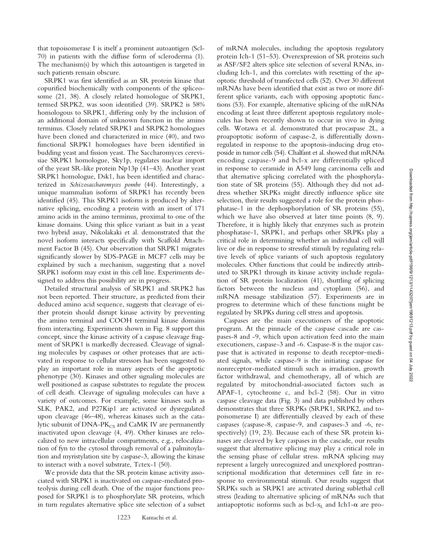that topoisomerase I is itself a prominent autoantigen (Scl-70) in patients with the diffuse form of scleroderma (1). The mechanism(s) by which this autoantigen is targeted in such patients remain obscure.

SRPK1 was first identified as an SR protein kinase that copurified biochemically with components of the spliceosome (21, 38). A closely related homologue of SRPK1, termed SRPK2, was soon identified (39). SRPK2 is 58% homologous to SRPK1, differing only by the inclusion of an additional domain of unknown function in the amino terminus. Closely related SRPK1 and SRPK2 homologues have been cloned and characterized in mice (40), and two functional SRPK1 homologues have been identified in budding yeast and fission yeast. The Saccharomyces cerevisiae SRPK1 homologue, Sky1p, regulates nuclear import of the yeast SR-like protein Np13p (41–43). Another yeast SRPK1 homologue, Dsk1, has been identified and characterized in *Schizosaccharomyces pombe* (44). Interestingly, a unique mammalian isoform of SRPK1 has recently been identified (45). This SRPK1 isoform is produced by alternative splicing, encoding a protein with an insert of 171 amino acids in the amino terminus, proximal to one of the kinase domains. Using this splice variant as bait in a yeast two hybrid assay, Nikolakaki et al. demonstrated that the novel isoform interacts specifically with Scaffold Attachment Factor B (45). Our observation that SRPK1 migrates significantly slower by SDS-PAGE in MCF7 cells may be explained by such a mechanism, suggesting that a novel SRPK1 isoform may exist in this cell line. Experiments designed to address this possibility are in progress.

Detailed structural analysis of SRPK1 and SRPK2 has not been reported. Their structure, as predicted from their deduced amino acid sequence, suggests that cleavage of either protein should disrupt kinase activity by preventing the amino terminal and COOH terminal kinase domains from interacting. Experiments shown in Fig. 8 support this concept, since the kinase activity of a caspase cleavage fragment of SRPK1 is markedly decreased. Cleavage of signaling molecules by caspases or other proteases that are activated in response to cellular stressors has been suggested to play an important role in many aspects of the apoptotic phenotype (30). Kinases and other signaling molecules are well positioned as caspase substrates to regulate the process of cell death. Cleavage of signaling molecules can have a variety of outcomes. For example, some kinases such as SLK, PAK2, and P27Kip1 are activated or dysregulated upon cleavage (46–48), whereas kinases such as the catalytic subunit of DNA-PK<sub>CS</sub> and CaMK IV are permanently inactivated upon cleavage (4, 49). Other kinases are relocalized to new intracellular compartments, e.g., relocalization of fyn to the cytosol through removal of a palmitoylation and myristylation site by caspase-3, allowing the kinase to interact with a novel substrate, Tctex-1 (50).

We provide data that the SR protein kinase activity associated with SRPK1 is inactivated on caspase-mediated proteolysis during cell death. One of the major functions proposed for SRPK1 is to phosphorylate SR proteins, which in turn regulates alternative splice site selection of a subset

of mRNA molecules, including the apoptosis regulatory protein Ich-1 (51–53). Overexpression of SR proteins such as ASF/SF2 alters splice site selection of several RNAs, including Ich-1, and this correlates with resetting of the apoptotic threshold of transfected cells (52). Over 30 different mRNAs have been identified that exist as two or more different splice variants, each with opposing apoptotic functions (53). For example, alternative splicing of the mRNAs encoding at least three different apoptosis regulatory molecules has been recently shown to occur in vivo in dying cells. Wotawa et al. demonstrated that procaspase 2L, a proapoptotic isoform of caspase-2, is differentially downregulated in response to the apoptosis-inducing drug etoposide in tumor cells (54). Chalfant et al. showed that mRNAs encoding caspase-9 and bcl-x are differentially spliced in response to ceramide in A549 lung carcinoma cells and that alternative splicing correlated with the phosphorylation state of SR proteins (55). Although they did not address whether SRPKs might directly influence splice site selection, their results suggested a role for the protein phosphatase-1 in the dephosphorylation of SR proteins (55), which we have also observed at later time points (8, 9). Therefore, it is highly likely that enzymes such as protein phosphatase-1, SRPK1, and perhaps other SRPKs play a critical role in determining whether an individual cell will live or die in response to stressful stimuli by regulating relative levels of splice variants of such apoptosis regulatory molecules. Other functions that could be indirectly attributed to SRPK1 through its kinase activity include regulation of SR protein localization (41), shuttling of splicing factors between the nucleus and cytoplasm (56), and mRNA message stabilization (57). Experiments are in progress to determine which of these functions might be regulated by SRPKs during cell stress and apoptosis.

Caspases are the main executioners of the apoptotic program. At the pinnacle of the caspase cascade are caspases-8 and -9, which upon activation feed into the main executioners, caspase-3 and -6. Caspase-8 is the major caspase that is activated in response to death receptor–mediated signals, while caspase-9 is the initiating caspase for nonreceptor-mediated stimuli such as irradiation, growth factor withdrawal, and chemotherapy, all of which are regulated by mitochondrial-associated factors such as APAF-1, cytochrome c, and bcl-2 (58). Our in vitro caspase cleavage data (Fig. 3) and data published by others demonstrates that three SRPKs (SRPK1, SRPK2, and topoisomerase I) are differentially cleaved by each of these caspases (caspase-8, caspase-9, and caspases-3 and -6, respectively) (19, 23). Because each of these SR protein kinases are cleaved by key caspases in the cascade, our results suggest that alternative splicing may play a critical role in the sensing phase of cellular stress. mRNA splicing may represent a largely unrecognized and unexplored posttranscriptional modification that determines cell fate in response to environmental stimuli. Our results suggest that SRPKs such as SRPK1 are activated during sublethal cell stress (leading to alternative splicing of mRNAs such that antiapoptotic isoforms such as  $\mathrm{bcl}\text{-}x_\mathrm{L}$  and  $\mathrm{Ich1-}\alpha$  are pro-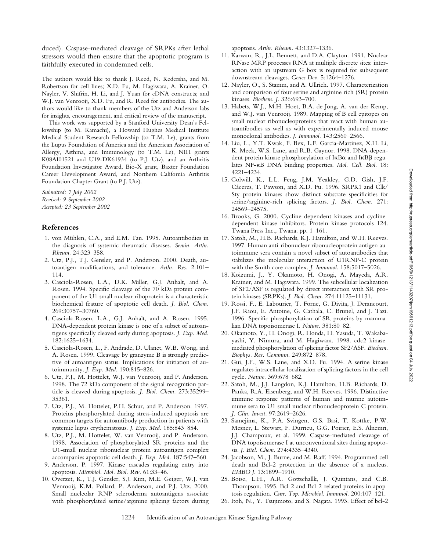Downloaded from http://rupress.org/jem/article-pdf/196/9/1213/1143207/jem19691213.pdf by guest on 04 July 2022 Downloaded from http://rupress.org/jem/article-pdf/196/9/1213/1143207/jem19691213.pdf by guest on 04 July 2022

duced). Caspase-mediated cleavage of SRPKs after lethal stressors would then ensure that the apoptotic program is faithfully executed in condemned cells.

The authors would like to thank J. Reed, N. Kedersha, and M. Robertson for cell lines; X.D. Fu, M. Hagiwara, A. Krainer, O. Nayler, V. Shifrin, H. Li, and J. Yuan for cDNA constructs; and W.J. van Venrooij, X.D. Fu, and R. Reed for antibodies. The authors would like to thank members of the Utz and Anderson labs for insights, encouragement, and critical review of the manuscript.

This work was supported by a Stanford University Dean's Fellowship (to M. Kamachi), a Howard Hughes Medical Institute Medical Student Research Fellowship (to T.M. Le), grants from the Lupus Foundation of America and the American Association of Allergy, Asthma, and Immunology (to T.M. Le), NIH grants K08AI01521 and U19-DK61934 (to P.J. Utz), and an Arthritis Foundation Investigator Award, Bio-X grant, Baxter Foundation Career Development Award, and Northern California Arthritis Foundation Chapter Grant (to P.J. Utz).

*Submitted: 7 July 2002 Revised: 9 September 2002 Accepted: 23 September 2002*

#### **References**

- 1. von Mühlen, C.A., and E.M. Tan. 1995. Autoantibodies in the diagnosis of systemic rheumatic diseases. *Semin. Arthr. Rheum.* 24:323–358.
- 2. Utz, P.J., T.J. Gensler, and P. Anderson. 2000. Death, autoantigen modifications, and tolerance. *Arthr. Res.* 2:101– 114.
- 3. Casciola-Rosen, L.A., D.K. Miller, G.J. Anhalt, and A. Rosen. 1994. Specific cleavage of the 70 kDa protein component of the U1 small nuclear riboprotein is a characteristic biochemical feature of apoptotic cell death. *J. Biol. Chem.* 269:30757–30760.
- 4. Casciola-Rosen, L.A., G.J. Anhalt, and A. Rosen. 1995. DNA-dependent protein kinase is one of a subset of autoantigens specifically cleaved early during apoptosis. *J. Exp. Med.* 182:1625–1634.
- 5. Casciola-Rosen, L., F. Andrade, D. Ulanet, W.B. Wong, and A. Rosen. 1999. Cleavage by granzyme B is strongly predictive of autoantigen status. Implications for initiation of autoimmunity. *J. Exp. Med.* 190:815–826.
- 6. Utz, P.J., M. Hottelet, W.J. van Venrooij, and P. Anderson. 1998. The 72 kDa component of the signal recognition particle is cleaved during apoptosis. *J. Biol. Chem.* 273:35299– 35361.
- 7. Utz, P.J., M. Hottelet, P.H. Schur, and P. Anderson. 1997. Proteins phosphorylated during stress-induced apoptosis are common targets for autoantibody production in patients with systemic lupus erythematosus. *J. Exp. Med.* 185:843–854.
- 8. Utz, P.J., M. Hottelet, W. van Venrooij, and P. Anderson. 1998. Association of phosphorylated SR proteins and the U1-small nuclear ribonuclear protein autoantigen complex accompanies apoptotic cell death. *J. Exp. Med.* 187:547–560.
- 9. Anderson, P. 1997. Kinase cascades regulating entry into apoptosis. *Microbiol. Mol. Biol. Rev.* 61:33–46.
- 10. Overzet, K., T.J. Gensler, S.J. Kim, M.E. Geiger, W.J. van Venrooij, K.M. Pollard, P. Anderson, and P.J. Utz. 2000. Small nucleolar RNP scleroderma autoantigens associate with phosphorylated serine/arginine splicing factors during

apoptosis. *Arthr. Rheum.* 43:1327–1336.

- 11. Karwan, R., J.L. Bennett, and D.A. Clayton. 1991. Nuclear RNase MRP processes RNA at multiple discrete sites: interaction with an upstream G box is required for subsequent downstream cleavages. *Genes Dev.* 5:1264–1276.
- 12. Nayler, O., S. Stamm, and A. Ullrich. 1997. Characterization and comparison of four serine and arginine rich (SR) protein kinases. *Biochem. J.* 326:693–700.
- 13. Habets, W.J., M.H. Hoet, B.A. de Jong, A. van der Kemp, and W.J. van Venrooij. 1989. Mapping of B cell epitopes on small nuclear ribonucleoproteins that react with human autoantibodies as well as with experimentally-induced mouse monoclonal antibodies. *J. Immunol.* 143:2560–2566.
- 14. Liu, L., Y.T. Kwak, F. Bex, L.F. Garcia-Martinez, X.H. Li, K. Meek, W.S. Lane, and R.B. Gaynor. 1998. DNA-dependent protein kinase phosphorylation of  $I\kappa B\alpha$  and  $I\kappa B\beta$  regulates NF-KB DNA binding properties. *Mol. Cell. Biol.* 18: 4221–4234.
- 15. Colwill, K., L.L. Feng, J.M. Yeakley, G.D. Gish, J.F. Cáceres, T. Pawson, and X.D. Fu. 1996. SRPK1 and Clk/ Sty protein kinases show distinct substrate specificities for serine/arginine-rich splicing factors. *J. Biol. Chem.* 271: 24569–24575.
- 16. Brooks, G. 2000. Cycline-dependent kinases and cyclinedependent kinase inhibitors. Protein kinase protocols 124. Twana Press Inc., Twana. pp. 1–161.
- 17. Satoh, M., H.B. Richards, K.J. Hamilton, and W.H. Reeves. 1997. Human anti-ribonuclear ribonucleoprotein antigen autoimmune sera contain a novel subset of autoantibodies that stabilizes the molecular interaction of U1RNP-C protein with the Smith core complex. *J. Immunol.* 158:5017–5026.
- 18. Koizumi, J., Y. Okamoto, H. Onogi, A. Mayeda, A.R. Krainer, and M. Hagiwara. 1999. The subcellular localization of SF2/ASF is regulated by direct interaction with SR protein kinases (SRPKs). *J. Biol. Chem.* 274:11125–11131.
- 19. Rossi, F., E. Labourier, T. Forne, G. Divita, J. Derancourt, J.F. Riou, E. Antoine, G. Cathala, C. Brunel, and J. Tazi. 1996. Specific phosphorylation of SR proteins by mammalian DNA topoisomerase I. *Nature.* 381:80–82.
- 20. Okamoto, Y., H. Onogi, R. Honda, H. Yasuda, T. Wakabayashi, Y. Nimura, and M. Hagiwara. 1998. cdc2 kinasemediated phosphorylation of splicing factor SF2/ASF. *Biochem. Biophys. Res. Commun.* 249:872–878.
- 21. Gui, J.F., W.S. Lane, and X.D. Fu. 1994. A serine kinase regulates intracellular localization of splicing factors in the cell cycle. *Nature.* 369:678–682.
- 22. Satoh, M., J.J. Langdon, K.J. Hamilton, H.B. Richards, D. Panka, R.A. Eisenberg, and W.H. Reeves. 1996. Distinctive immune response patterns of human and murine autoimmune sera to U1 small nuclear ribonucleoprotein C protein. *J. Clin. Invest.* 97:2619–2626.
- 23. Samejima, K., P.A. Svingen, G.S. Basi, T. Kottke, P.W. Mesner, L. Stewart, F. Durrieu, G.G. Poirier, E.S. Alnemri, J.J. Champoux, et al. 1999. Caspase-mediated cleavage of DNA topoisomerase I at unconventional sites during apoptosis. *J. Biol. Chem.* 274:4335–4340.
- 24. Jacobson, M., J. Burne, and M. Raff. 1994. Programmed cell death and Bcl-2 protection in the absence of a nucleus. *EMBO J.* 13:1899–1910.
- 25. Boise, L.H., A.R. Gottschallk, J. Quintans, and C.B. Thompson. 1995. Bcl-2 and Bcl-2-related proteins in apoptosis regulation. *Curr. Top. Microbiol. Immunol.* 200:107–121.
- 26. Itoh, N., Y. Tsujimoto, and S. Nagata. 1993. Effect of bcl-2